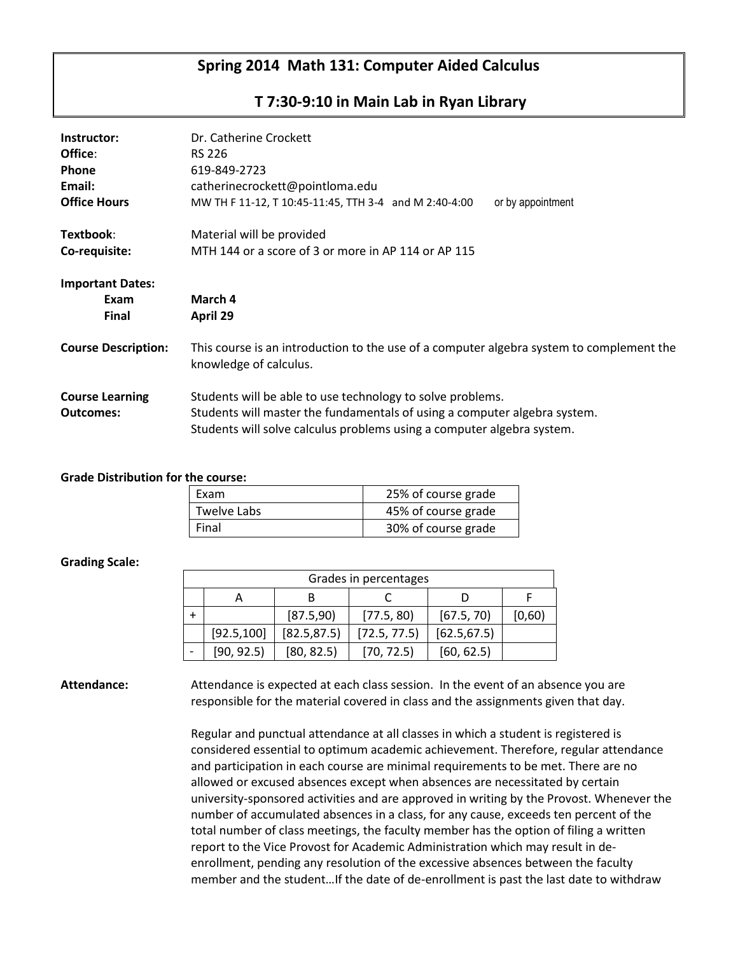# **Spring 2014 Math 131: Computer Aided Calculus**

## **T 7:30-9:10 in Main Lab in Ryan Library**

| Instructor:<br>Office:<br><b>Phone</b><br>Email:<br><b>Office Hours</b> | Dr. Catherine Crockett<br><b>RS 226</b><br>619-849-2723<br>catherinecrockett@pointloma.edu<br>MW TH F 11-12, T 10:45-11:45, TTH 3-4 and M 2:40-4:00<br>or by appointment                                          |  |
|-------------------------------------------------------------------------|-------------------------------------------------------------------------------------------------------------------------------------------------------------------------------------------------------------------|--|
| Textbook:                                                               | Material will be provided                                                                                                                                                                                         |  |
| Co-requisite:                                                           | MTH 144 or a score of 3 or more in AP 114 or AP 115                                                                                                                                                               |  |
| <b>Important Dates:</b><br>Exam<br><b>Final</b>                         | March 4<br>April 29                                                                                                                                                                                               |  |
| <b>Course Description:</b>                                              | This course is an introduction to the use of a computer algebra system to complement the<br>knowledge of calculus.                                                                                                |  |
| <b>Course Learning</b><br><b>Outcomes:</b>                              | Students will be able to use technology to solve problems.<br>Students will master the fundamentals of using a computer algebra system.<br>Students will solve calculus problems using a computer algebra system. |  |

#### **Grade Distribution for the course:**

| Exam               | 25% of course grade |
|--------------------|---------------------|
| <b>Twelve Labs</b> | 45% of course grade |
| Final              | 30% of course grade |

### **Grading Scale:**

| Grades in percentages |             |              |              |              |        |  |  |
|-----------------------|-------------|--------------|--------------|--------------|--------|--|--|
|                       |             |              |              |              |        |  |  |
|                       |             | [87.5,90]    | [77.5, 80]   | [67.5, 70]   | [0,60) |  |  |
|                       | [92.5, 100] | [82.5, 87.5] | [72.5, 77.5] | [62.5, 67.5] |        |  |  |
|                       | [90, 92.5]  | [80, 82.5]   | [70, 72.5]   | [60, 62.5]   |        |  |  |

**Attendance:** Attendance is expected at each class session. In the event of an absence you are responsible for the material covered in class and the assignments given that day.

> Regular and punctual attendance at all classes in which a student is registered is considered essential to optimum academic achievement. Therefore, regular attendance and participation in each course are minimal requirements to be met. There are no allowed or excused absences except when absences are necessitated by certain university-sponsored activities and are approved in writing by the Provost. Whenever the number of accumulated absences in a class, for any cause, exceeds ten percent of the total number of class meetings, the faculty member has the option of filing a written report to the Vice Provost for Academic Administration which may result in deenrollment, pending any resolution of the excessive absences between the faculty member and the student…If the date of de-enrollment is past the last date to withdraw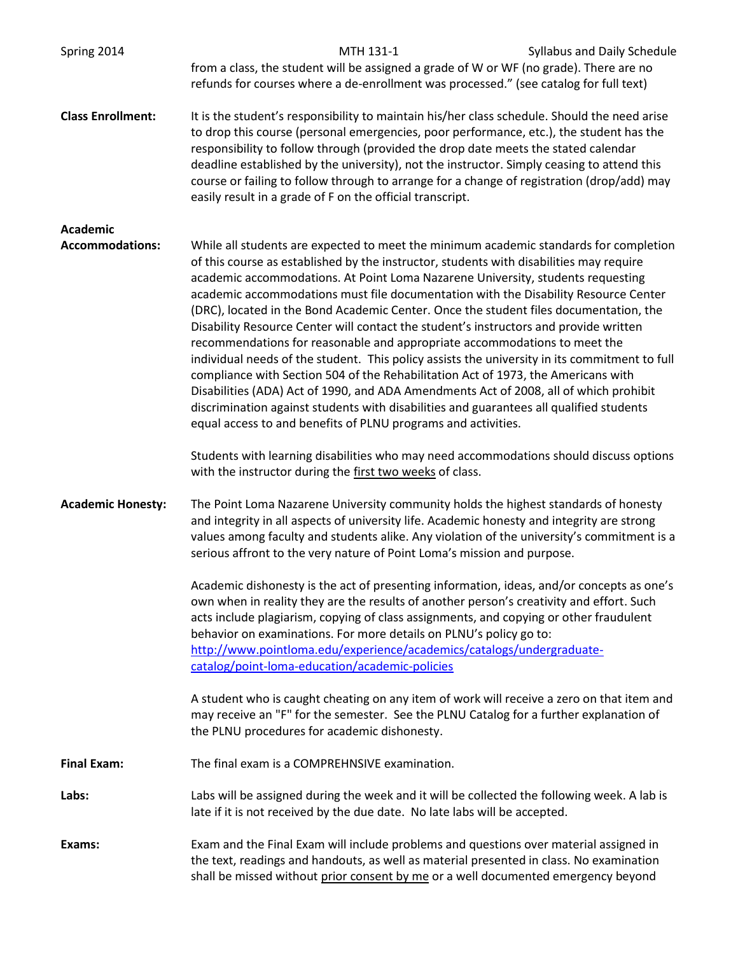| Spring 2014              | MTH 131-1<br>from a class, the student will be assigned a grade of W or WF (no grade). There are no<br>refunds for courses where a de-enrollment was processed." (see catalog for full text)                                                                                                                                                                                                                                                                                                                                                                                                                                                                                                                                                                                                                                                                                                                                                                                                                                                                         | Syllabus and Daily Schedule |  |  |
|--------------------------|----------------------------------------------------------------------------------------------------------------------------------------------------------------------------------------------------------------------------------------------------------------------------------------------------------------------------------------------------------------------------------------------------------------------------------------------------------------------------------------------------------------------------------------------------------------------------------------------------------------------------------------------------------------------------------------------------------------------------------------------------------------------------------------------------------------------------------------------------------------------------------------------------------------------------------------------------------------------------------------------------------------------------------------------------------------------|-----------------------------|--|--|
| <b>Class Enrollment:</b> | It is the student's responsibility to maintain his/her class schedule. Should the need arise<br>to drop this course (personal emergencies, poor performance, etc.), the student has the<br>responsibility to follow through (provided the drop date meets the stated calendar<br>deadline established by the university), not the instructor. Simply ceasing to attend this<br>course or failing to follow through to arrange for a change of registration (drop/add) may<br>easily result in a grade of F on the official transcript.                                                                                                                                                                                                                                                                                                                                                                                                                                                                                                                               |                             |  |  |
| <b>Academic</b>          |                                                                                                                                                                                                                                                                                                                                                                                                                                                                                                                                                                                                                                                                                                                                                                                                                                                                                                                                                                                                                                                                      |                             |  |  |
| <b>Accommodations:</b>   | While all students are expected to meet the minimum academic standards for completion<br>of this course as established by the instructor, students with disabilities may require<br>academic accommodations. At Point Loma Nazarene University, students requesting<br>academic accommodations must file documentation with the Disability Resource Center<br>(DRC), located in the Bond Academic Center. Once the student files documentation, the<br>Disability Resource Center will contact the student's instructors and provide written<br>recommendations for reasonable and appropriate accommodations to meet the<br>individual needs of the student. This policy assists the university in its commitment to full<br>compliance with Section 504 of the Rehabilitation Act of 1973, the Americans with<br>Disabilities (ADA) Act of 1990, and ADA Amendments Act of 2008, all of which prohibit<br>discrimination against students with disabilities and guarantees all qualified students<br>equal access to and benefits of PLNU programs and activities. |                             |  |  |
|                          | Students with learning disabilities who may need accommodations should discuss options<br>with the instructor during the first two weeks of class.                                                                                                                                                                                                                                                                                                                                                                                                                                                                                                                                                                                                                                                                                                                                                                                                                                                                                                                   |                             |  |  |
| <b>Academic Honesty:</b> | The Point Loma Nazarene University community holds the highest standards of honesty<br>and integrity in all aspects of university life. Academic honesty and integrity are strong<br>values among faculty and students alike. Any violation of the university's commitment is a<br>serious affront to the very nature of Point Loma's mission and purpose.                                                                                                                                                                                                                                                                                                                                                                                                                                                                                                                                                                                                                                                                                                           |                             |  |  |
|                          | Academic dishonesty is the act of presenting information, ideas, and/or concepts as one's<br>own when in reality they are the results of another person's creativity and effort. Such<br>acts include plagiarism, copying of class assignments, and copying or other fraudulent<br>behavior on examinations. For more details on PLNU's policy go to:<br>http://www.pointloma.edu/experience/academics/catalogs/undergraduate-<br>catalog/point-loma-education/academic-policies                                                                                                                                                                                                                                                                                                                                                                                                                                                                                                                                                                                     |                             |  |  |
|                          | A student who is caught cheating on any item of work will receive a zero on that item and<br>may receive an "F" for the semester. See the PLNU Catalog for a further explanation of<br>the PLNU procedures for academic dishonesty.                                                                                                                                                                                                                                                                                                                                                                                                                                                                                                                                                                                                                                                                                                                                                                                                                                  |                             |  |  |
| <b>Final Exam:</b>       | The final exam is a COMPREHNSIVE examination.                                                                                                                                                                                                                                                                                                                                                                                                                                                                                                                                                                                                                                                                                                                                                                                                                                                                                                                                                                                                                        |                             |  |  |
| Labs:                    | Labs will be assigned during the week and it will be collected the following week. A lab is<br>late if it is not received by the due date. No late labs will be accepted.                                                                                                                                                                                                                                                                                                                                                                                                                                                                                                                                                                                                                                                                                                                                                                                                                                                                                            |                             |  |  |
| Exams:                   | Exam and the Final Exam will include problems and questions over material assigned in<br>the text, readings and handouts, as well as material presented in class. No examination<br>shall be missed without prior consent by me or a well documented emergency beyond                                                                                                                                                                                                                                                                                                                                                                                                                                                                                                                                                                                                                                                                                                                                                                                                |                             |  |  |